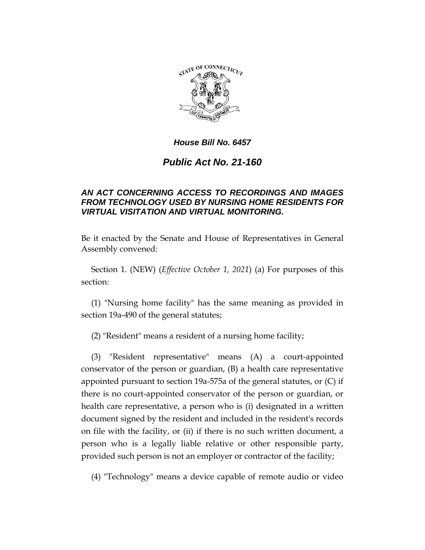

## *House Bill No. 6457*

# *Public Act No. 21-160*

## *AN ACT CONCERNING ACCESS TO RECORDINGS AND IMAGES FROM TECHNOLOGY USED BY NURSING HOME RESIDENTS FOR VIRTUAL VISITATION AND VIRTUAL MONITORING.*

Be it enacted by the Senate and House of Representatives in General Assembly convened:

Section 1. (NEW) (*Effective October 1, 2021*) (a) For purposes of this section:

(1) "Nursing home facility" has the same meaning as provided in section 19a-490 of the general statutes;

(2) "Resident" means a resident of a nursing home facility;

(3) "Resident representative" means (A) a court-appointed conservator of the person or guardian, (B) a health care representative appointed pursuant to section 19a-575a of the general statutes, or (C) if there is no court-appointed conservator of the person or guardian, or health care representative, a person who is (i) designated in a written document signed by the resident and included in the resident's records on file with the facility, or (ii) if there is no such written document, a person who is a legally liable relative or other responsible party, provided such person is not an employer or contractor of the facility;

(4) "Technology" means a device capable of remote audio or video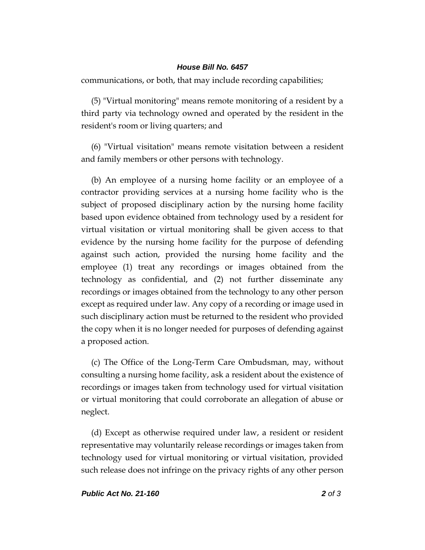#### *House Bill No. 6457*

communications, or both, that may include recording capabilities;

(5) "Virtual monitoring" means remote monitoring of a resident by a third party via technology owned and operated by the resident in the resident's room or living quarters; and

(6) "Virtual visitation" means remote visitation between a resident and family members or other persons with technology.

(b) An employee of a nursing home facility or an employee of a contractor providing services at a nursing home facility who is the subject of proposed disciplinary action by the nursing home facility based upon evidence obtained from technology used by a resident for virtual visitation or virtual monitoring shall be given access to that evidence by the nursing home facility for the purpose of defending against such action, provided the nursing home facility and the employee (1) treat any recordings or images obtained from the technology as confidential, and (2) not further disseminate any recordings or images obtained from the technology to any other person except as required under law. Any copy of a recording or image used in such disciplinary action must be returned to the resident who provided the copy when it is no longer needed for purposes of defending against a proposed action.

(c) The Office of the Long-Term Care Ombudsman, may, without consulting a nursing home facility, ask a resident about the existence of recordings or images taken from technology used for virtual visitation or virtual monitoring that could corroborate an allegation of abuse or neglect.

(d) Except as otherwise required under law, a resident or resident representative may voluntarily release recordings or images taken from technology used for virtual monitoring or virtual visitation, provided such release does not infringe on the privacy rights of any other person